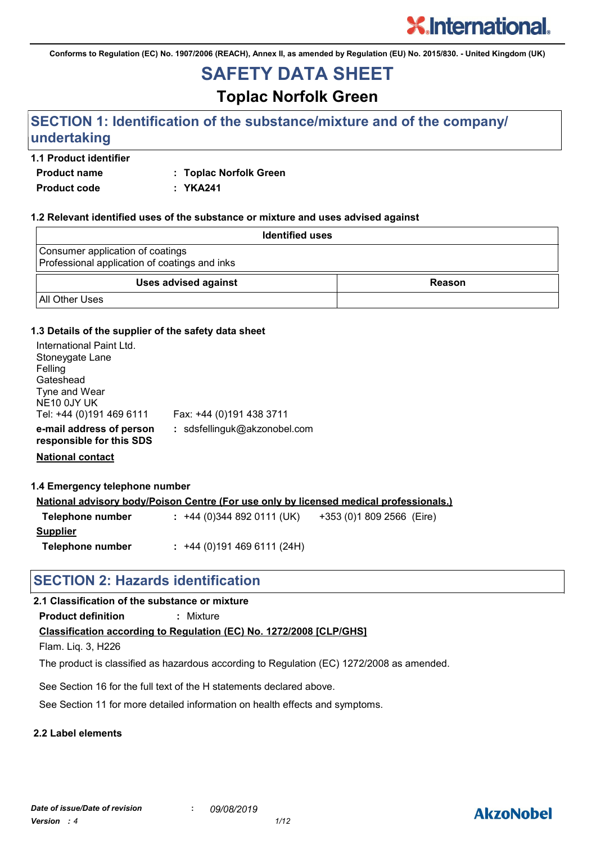**Conforms to Regulation (EC) No. 1907/2006 (REACH), Annex II, as amended by Regulation (EU) No. 2015/830. - United Kingdom (UK)**

## **SAFETY DATA SHEET**

## **Toplac Norfolk Green**

## **SECTION 1: Identification of the substance/mixture and of the company/ undertaking**

## **1.1 Product identifier**

**Product name : Toplac Norfolk Green**

**Product code : YKA241**

## **1.2 Relevant identified uses of the substance or mixture and uses advised against**

| <b>Identified uses</b>                                                            |        |
|-----------------------------------------------------------------------------------|--------|
| Consumer application of coatings<br>Professional application of coatings and inks |        |
| <b>Uses advised against</b>                                                       | Reason |
| <b>All Other Uses</b>                                                             |        |

### **1.3 Details of the supplier of the safety data sheet**

| International Paint Ltd.<br>Stoneygate Lane<br>Felling<br>Gateshead<br>Tyne and Wear<br>NE <sub>10</sub> 0JY UK<br>Tel: +44 (0)191 469 6111 | Fax: +44 (0)191 438 3711     |
|---------------------------------------------------------------------------------------------------------------------------------------------|------------------------------|
| e-mail address of person<br>responsible for this SDS                                                                                        | : sdsfellinguk@akzonobel.com |

**National contact**

### **1.4 Emergency telephone number**

|                  | <u>National advisory body/Poison Centre (For use only by licensed medical professionals.)</u> |  |
|------------------|-----------------------------------------------------------------------------------------------|--|
| Telephone number | $: +44(0)3448920111(UK)$<br>+353 (0)1 809 2566 (Eire)                                         |  |
| Supplier         |                                                                                               |  |
| Telephone number | $: +44(0)1914696111(24H)$                                                                     |  |

## **SECTION 2: Hazards identification**

## **2.1 Classification of the substance or mixture**

**Product definition :** Mixture

## **Classification according to Regulation (EC) No. 1272/2008 [CLP/GHS]**

Flam. Liq. 3, H226

The product is classified as hazardous according to Regulation (EC) 1272/2008 as amended.

See Section 16 for the full text of the H statements declared above.

See Section 11 for more detailed information on health effects and symptoms.

## **2.2 Label elements**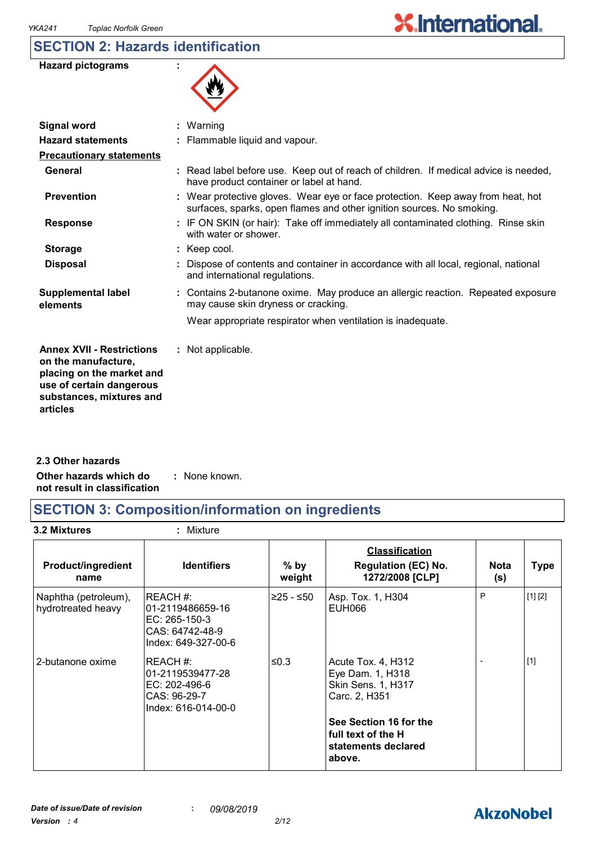## **SECTION 2: Hazards identification**

| <b>Hazard pictograms</b> |  |
|--------------------------|--|
|--------------------------|--|



| <b>Signal word</b>                                                                                                                                       | : Warning                                                                                                                                                |
|----------------------------------------------------------------------------------------------------------------------------------------------------------|----------------------------------------------------------------------------------------------------------------------------------------------------------|
| <b>Hazard statements</b>                                                                                                                                 | : Flammable liquid and vapour.                                                                                                                           |
| <b>Precautionary statements</b>                                                                                                                          |                                                                                                                                                          |
| General                                                                                                                                                  | : Read label before use. Keep out of reach of children. If medical advice is needed,<br>have product container or label at hand.                         |
| <b>Prevention</b>                                                                                                                                        | : Wear protective gloves. Wear eye or face protection. Keep away from heat, hot<br>surfaces, sparks, open flames and other ignition sources. No smoking. |
| <b>Response</b>                                                                                                                                          | : IF ON SKIN (or hair): Take off immediately all contaminated clothing. Rinse skin<br>with water or shower.                                              |
| <b>Storage</b>                                                                                                                                           | : Keep cool.                                                                                                                                             |
| <b>Disposal</b>                                                                                                                                          | : Dispose of contents and container in accordance with all local, regional, national<br>and international regulations.                                   |
| <b>Supplemental label</b><br>elements                                                                                                                    | : Contains 2-butanone oxime. May produce an allergic reaction. Repeated exposure<br>may cause skin dryness or cracking.                                  |
|                                                                                                                                                          | Wear appropriate respirator when ventilation is inadequate.                                                                                              |
| <b>Annex XVII - Restrictions</b><br>on the manufacture,<br>placing on the market and<br>use of certain dangerous<br>substances, mixtures and<br>articles | : Not applicable.                                                                                                                                        |
|                                                                                                                                                          |                                                                                                                                                          |

**Other hazards which do : not result in classification** : None known. **2.3 Other hazards**

## **SECTION 3: Composition/information on ingredients**

**3.2 Mixtures :** Mixture

| <b>Product/ingredient</b><br>name          | <b>Identifiers</b>                                                                       | $%$ by<br>weight | <b>Classification</b><br><b>Regulation (EC) No.</b><br>1272/2008 [CLP]        | <b>Nota</b><br>(s) | <b>Type</b> |
|--------------------------------------------|------------------------------------------------------------------------------------------|------------------|-------------------------------------------------------------------------------|--------------------|-------------|
| Naphtha (petroleum),<br>hydrotreated heavy | IREACH #:<br>01-2119486659-16<br>EC: 265-150-3<br>CAS: 64742-48-9<br>Index: 649-327-00-6 | ≥25 - ≤50        | Asp. Tox. 1, H304<br>EUH066                                                   | P                  | [1] [2]     |
| 2-butanone oxime                           | REACH #:<br>01-2119539477-28<br>EC: 202-496-6<br>CAS: 96-29-7<br>Index: 616-014-00-0     | ≤0.3             | Acute Tox. 4, H312<br>Eye Dam. 1, H318<br>Skin Sens. 1, H317<br>Carc. 2, H351 |                    | $[1]$       |
|                                            |                                                                                          |                  | See Section 16 for the<br>full text of the H<br>statements declared<br>above. |                    |             |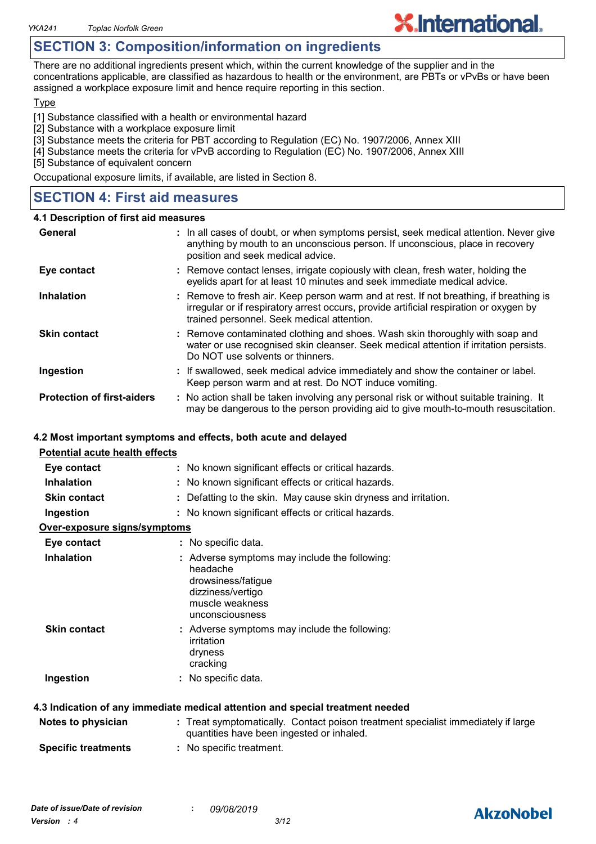## **SECTION 3: Composition/information on ingredients**

There are no additional ingredients present which, within the current knowledge of the supplier and in the concentrations applicable, are classified as hazardous to health or the environment, are PBTs or vPvBs or have been assigned a workplace exposure limit and hence require reporting in this section.

**X.International.** 

#### **Type**

[1] Substance classified with a health or environmental hazard

- [2] Substance with a workplace exposure limit
- [3] Substance meets the criteria for PBT according to Regulation (EC) No. 1907/2006, Annex XIII
- [4] Substance meets the criteria for vPvB according to Regulation (EC) No. 1907/2006, Annex XIII

[5] Substance of equivalent concern

Occupational exposure limits, if available, are listed in Section 8.

## **SECTION 4: First aid measures**

#### **4.1 Description of first aid measures**

| General                           | : In all cases of doubt, or when symptoms persist, seek medical attention. Never give<br>anything by mouth to an unconscious person. If unconscious, place in recovery<br>position and seek medical advice.                    |
|-----------------------------------|--------------------------------------------------------------------------------------------------------------------------------------------------------------------------------------------------------------------------------|
| Eye contact                       | : Remove contact lenses, irrigate copiously with clean, fresh water, holding the<br>eyelids apart for at least 10 minutes and seek immediate medical advice.                                                                   |
| <b>Inhalation</b>                 | : Remove to fresh air. Keep person warm and at rest. If not breathing, if breathing is<br>irregular or if respiratory arrest occurs, provide artificial respiration or oxygen by<br>trained personnel. Seek medical attention. |
| <b>Skin contact</b>               | : Remove contaminated clothing and shoes. Wash skin thoroughly with soap and<br>water or use recognised skin cleanser. Seek medical attention if irritation persists.<br>Do NOT use solvents or thinners.                      |
| Ingestion                         | : If swallowed, seek medical advice immediately and show the container or label.<br>Keep person warm and at rest. Do NOT induce vomiting.                                                                                      |
| <b>Protection of first-aiders</b> | : No action shall be taken involving any personal risk or without suitable training. It<br>may be dangerous to the person providing aid to give mouth-to-mouth resuscitation.                                                  |

### **4.2 Most important symptoms and effects, both acute and delayed**

| <b>Potential acute health effects</b> |                                                                                                                                            |
|---------------------------------------|--------------------------------------------------------------------------------------------------------------------------------------------|
| Eye contact                           | : No known significant effects or critical hazards.                                                                                        |
| <b>Inhalation</b>                     | : No known significant effects or critical hazards.                                                                                        |
| <b>Skin contact</b>                   | Defatting to the skin. May cause skin dryness and irritation.                                                                              |
| Ingestion                             | : No known significant effects or critical hazards.                                                                                        |
| Over-exposure signs/symptoms          |                                                                                                                                            |
| Eye contact                           | : No specific data.                                                                                                                        |
| <b>Inhalation</b>                     | : Adverse symptoms may include the following:<br>headache<br>drowsiness/fatigue<br>dizziness/vertigo<br>muscle weakness<br>unconsciousness |
| <b>Skin contact</b>                   | : Adverse symptoms may include the following:<br>irritation<br>dryness<br>cracking                                                         |
| Ingestion                             | : No specific data.                                                                                                                        |
|                                       | 4.3 Indication of any immediate medical attention and special treatment needed                                                             |
| Notes to physician                    | : Treat symptomatically. Contact poison treatment specialist immediately if large<br>quantities have been ingested or inhaled.             |

**Specific treatments :** No specific treatment.

## **AkzoNobel**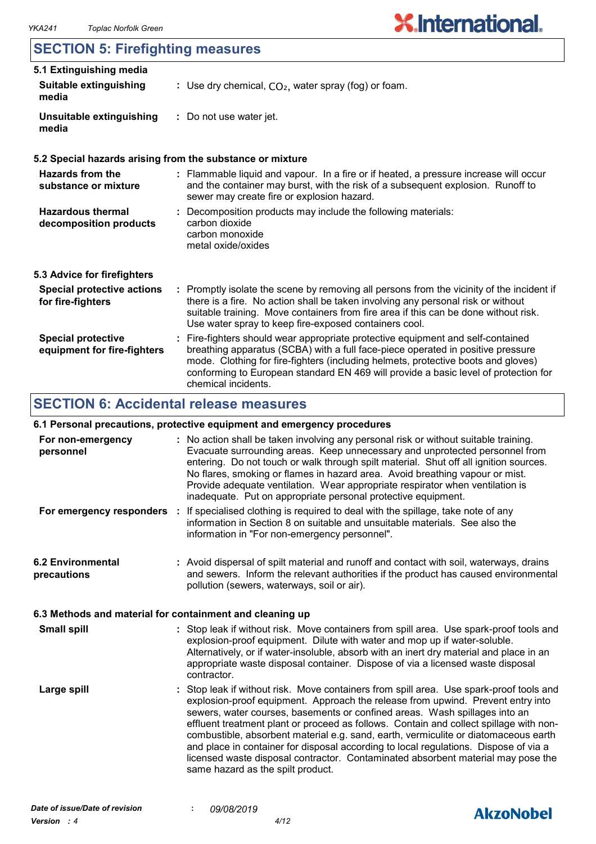## **SECTION 5: Firefighting measures**

| 5.1 Extinguishing media                                  |                                                                                                                                                                                                                                                                                                                                                                       |  |  |
|----------------------------------------------------------|-----------------------------------------------------------------------------------------------------------------------------------------------------------------------------------------------------------------------------------------------------------------------------------------------------------------------------------------------------------------------|--|--|
| <b>Suitable extinguishing</b><br>media                   | : Use dry chemical, $CO2$ , water spray (fog) or foam.                                                                                                                                                                                                                                                                                                                |  |  |
| Unsuitable extinguishing<br>media                        | : Do not use water jet.                                                                                                                                                                                                                                                                                                                                               |  |  |
|                                                          | 5.2 Special hazards arising from the substance or mixture                                                                                                                                                                                                                                                                                                             |  |  |
| Hazards from the<br>substance or mixture                 | : Flammable liquid and vapour. In a fire or if heated, a pressure increase will occur<br>and the container may burst, with the risk of a subsequent explosion. Runoff to<br>sewer may create fire or explosion hazard.                                                                                                                                                |  |  |
| <b>Hazardous thermal</b><br>decomposition products       | : Decomposition products may include the following materials:<br>carbon dioxide<br>carbon monoxide<br>metal oxide/oxides                                                                                                                                                                                                                                              |  |  |
| 5.3 Advice for firefighters                              |                                                                                                                                                                                                                                                                                                                                                                       |  |  |
| <b>Special protective actions</b><br>for fire-fighters   | : Promptly isolate the scene by removing all persons from the vicinity of the incident if<br>there is a fire. No action shall be taken involving any personal risk or without<br>suitable training. Move containers from fire area if this can be done without risk.<br>Use water spray to keep fire-exposed containers cool.                                         |  |  |
| <b>Special protective</b><br>equipment for fire-fighters | : Fire-fighters should wear appropriate protective equipment and self-contained<br>breathing apparatus (SCBA) with a full face-piece operated in positive pressure<br>mode. Clothing for fire-fighters (including helmets, protective boots and gloves)<br>conforming to European standard EN 469 will provide a basic level of protection for<br>chemical incidents. |  |  |

## **SECTION 6: Accidental release measures**

## **6.1 Personal precautions, protective equipment and emergency procedures**

| For non-emergency<br>personnel                           | : No action shall be taken involving any personal risk or without suitable training.<br>Evacuate surrounding areas. Keep unnecessary and unprotected personnel from<br>entering. Do not touch or walk through spilt material. Shut off all ignition sources.<br>No flares, smoking or flames in hazard area. Avoid breathing vapour or mist.<br>Provide adequate ventilation. Wear appropriate respirator when ventilation is<br>inadequate. Put on appropriate personal protective equipment.                                                                                                                                                             |
|----------------------------------------------------------|------------------------------------------------------------------------------------------------------------------------------------------------------------------------------------------------------------------------------------------------------------------------------------------------------------------------------------------------------------------------------------------------------------------------------------------------------------------------------------------------------------------------------------------------------------------------------------------------------------------------------------------------------------|
| For emergency responders :                               | If specialised clothing is required to deal with the spillage, take note of any<br>information in Section 8 on suitable and unsuitable materials. See also the<br>information in "For non-emergency personnel".                                                                                                                                                                                                                                                                                                                                                                                                                                            |
| <b>6.2 Environmental</b><br>precautions                  | : Avoid dispersal of spilt material and runoff and contact with soil, waterways, drains<br>and sewers. Inform the relevant authorities if the product has caused environmental<br>pollution (sewers, waterways, soil or air).                                                                                                                                                                                                                                                                                                                                                                                                                              |
| 6.3 Methods and material for containment and cleaning up |                                                                                                                                                                                                                                                                                                                                                                                                                                                                                                                                                                                                                                                            |
| <b>Small spill</b>                                       | : Stop leak if without risk. Move containers from spill area. Use spark-proof tools and<br>explosion-proof equipment. Dilute with water and mop up if water-soluble.<br>Alternatively, or if water-insoluble, absorb with an inert dry material and place in an<br>appropriate waste disposal container. Dispose of via a licensed waste disposal<br>contractor.                                                                                                                                                                                                                                                                                           |
| Large spill                                              | : Stop leak if without risk. Move containers from spill area. Use spark-proof tools and<br>explosion-proof equipment. Approach the release from upwind. Prevent entry into<br>sewers, water courses, basements or confined areas. Wash spillages into an<br>effluent treatment plant or proceed as follows. Contain and collect spillage with non-<br>combustible, absorbent material e.g. sand, earth, vermiculite or diatomaceous earth<br>and place in container for disposal according to local regulations. Dispose of via a<br>licensed waste disposal contractor. Contaminated absorbent material may pose the<br>same hazard as the spilt product. |

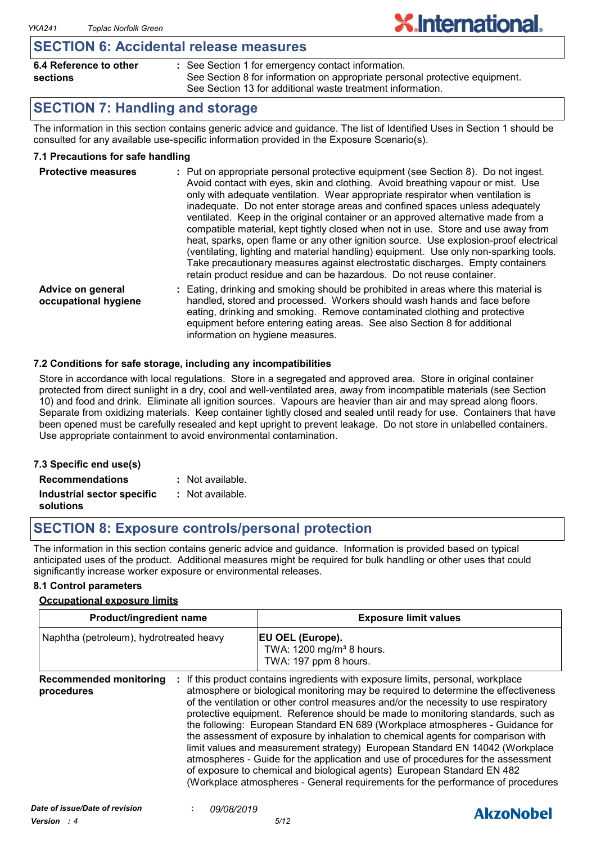## **SECTION 6: Accidental release measures**

| 6.4 Reference to other | : See Section 1 for emergency contact information.                          |
|------------------------|-----------------------------------------------------------------------------|
| sections               | See Section 8 for information on appropriate personal protective equipment. |
|                        | See Section 13 for additional waste treatment information.                  |

**X.International.** 

## **SECTION 7: Handling and storage**

The information in this section contains generic advice and guidance. The list of Identified Uses in Section 1 should be consulted for any available use-specific information provided in the Exposure Scenario(s).

## **7.1 Precautions for safe handling**

| <b>Protective measures</b>                | : Put on appropriate personal protective equipment (see Section 8). Do not ingest.<br>Avoid contact with eyes, skin and clothing. Avoid breathing vapour or mist. Use<br>only with adequate ventilation. Wear appropriate respirator when ventilation is<br>inadequate. Do not enter storage areas and confined spaces unless adequately<br>ventilated. Keep in the original container or an approved alternative made from a<br>compatible material, kept tightly closed when not in use. Store and use away from<br>heat, sparks, open flame or any other ignition source. Use explosion-proof electrical<br>(ventilating, lighting and material handling) equipment. Use only non-sparking tools.<br>Take precautionary measures against electrostatic discharges. Empty containers<br>retain product residue and can be hazardous. Do not reuse container. |
|-------------------------------------------|----------------------------------------------------------------------------------------------------------------------------------------------------------------------------------------------------------------------------------------------------------------------------------------------------------------------------------------------------------------------------------------------------------------------------------------------------------------------------------------------------------------------------------------------------------------------------------------------------------------------------------------------------------------------------------------------------------------------------------------------------------------------------------------------------------------------------------------------------------------|
| Advice on general<br>occupational hygiene | Eating, drinking and smoking should be prohibited in areas where this material is<br>handled, stored and processed. Workers should wash hands and face before<br>eating, drinking and smoking. Remove contaminated clothing and protective<br>equipment before entering eating areas. See also Section 8 for additional                                                                                                                                                                                                                                                                                                                                                                                                                                                                                                                                        |

### **7.2 Conditions for safe storage, including any incompatibilities**

Store in accordance with local regulations. Store in a segregated and approved area. Store in original container protected from direct sunlight in a dry, cool and well-ventilated area, away from incompatible materials (see Section 10) and food and drink. Eliminate all ignition sources. Vapours are heavier than air and may spread along floors. Separate from oxidizing materials. Keep container tightly closed and sealed until ready for use. Containers that have been opened must be carefully resealed and kept upright to prevent leakage. Do not store in unlabelled containers. Use appropriate containment to avoid environmental contamination.

information on hygiene measures.

#### **7.3 Specific end use(s) Recommendations : Industrial sector specific : solutions** : Not available. Not available.

## **SECTION 8: Exposure controls/personal protection**

The information in this section contains generic advice and guidance. Information is provided based on typical anticipated uses of the product. Additional measures might be required for bulk handling or other uses that could significantly increase worker exposure or environmental releases.

#### **8.1 Control parameters**

#### **Occupational exposure limits**

| <b>Product/ingredient name</b>              |  | <b>Exposure limit values</b>                                                                                                                                                                                                                                                                                                                                                                                                                                                                                                                                                                                                                                                                                                                                                                                                                          |  |
|---------------------------------------------|--|-------------------------------------------------------------------------------------------------------------------------------------------------------------------------------------------------------------------------------------------------------------------------------------------------------------------------------------------------------------------------------------------------------------------------------------------------------------------------------------------------------------------------------------------------------------------------------------------------------------------------------------------------------------------------------------------------------------------------------------------------------------------------------------------------------------------------------------------------------|--|
| Naphtha (petroleum), hydrotreated heavy     |  | EU OEL (Europe).<br>TWA: 1200 mg/m <sup>3</sup> 8 hours.<br>TWA: 197 ppm 8 hours.                                                                                                                                                                                                                                                                                                                                                                                                                                                                                                                                                                                                                                                                                                                                                                     |  |
| <b>Recommended monitoring</b><br>procedures |  | If this product contains ingredients with exposure limits, personal, workplace<br>atmosphere or biological monitoring may be required to determine the effectiveness<br>of the ventilation or other control measures and/or the necessity to use respiratory<br>protective equipment. Reference should be made to monitoring standards, such as<br>the following: European Standard EN 689 (Workplace atmospheres - Guidance for<br>the assessment of exposure by inhalation to chemical agents for comparison with<br>limit values and measurement strategy) European Standard EN 14042 (Workplace<br>atmospheres - Guide for the application and use of procedures for the assessment<br>of exposure to chemical and biological agents) European Standard EN 482<br>(Workplace atmospheres - General requirements for the performance of procedures |  |

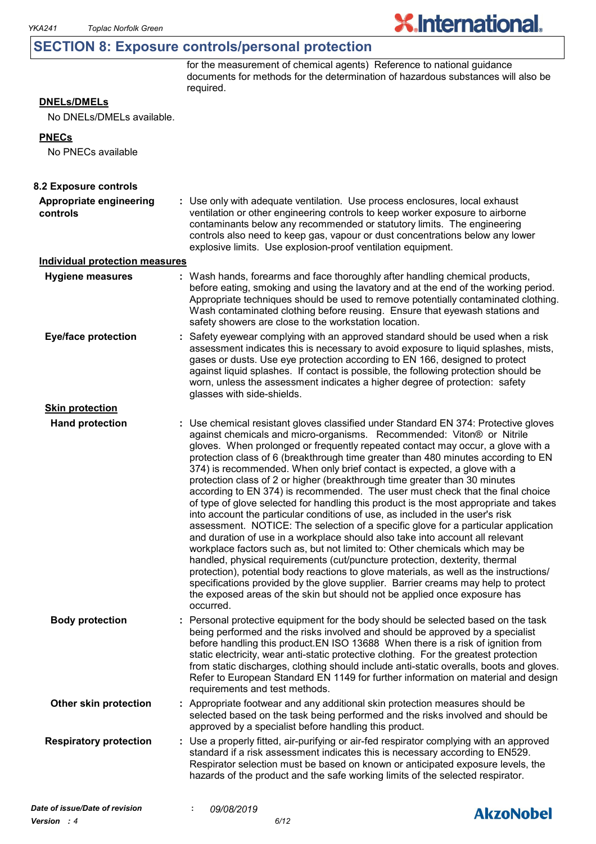## **SECTION 8: Exposure controls/personal protection**

for the measurement of chemical agents) Reference to national guidance documents for methods for the determination of hazardous substances will also be required.

**X.International.** 

## **DNELs/DMELs**

No DNELs/DMELs available.

#### **PNECs**

No PNECs available

| 8.2 Exposure controls                 |                                                                                                                                                                                                                                                                                                                                                                                                                                                                                                                                                                                                                                                                                                                                                                                                                                                                                                                                                                                                                                                                                                                                                                                                                                                                                                                                                                          |                  |
|---------------------------------------|--------------------------------------------------------------------------------------------------------------------------------------------------------------------------------------------------------------------------------------------------------------------------------------------------------------------------------------------------------------------------------------------------------------------------------------------------------------------------------------------------------------------------------------------------------------------------------------------------------------------------------------------------------------------------------------------------------------------------------------------------------------------------------------------------------------------------------------------------------------------------------------------------------------------------------------------------------------------------------------------------------------------------------------------------------------------------------------------------------------------------------------------------------------------------------------------------------------------------------------------------------------------------------------------------------------------------------------------------------------------------|------------------|
| Appropriate engineering<br>controls   | : Use only with adequate ventilation. Use process enclosures, local exhaust<br>ventilation or other engineering controls to keep worker exposure to airborne<br>contaminants below any recommended or statutory limits. The engineering<br>controls also need to keep gas, vapour or dust concentrations below any lower<br>explosive limits. Use explosion-proof ventilation equipment.                                                                                                                                                                                                                                                                                                                                                                                                                                                                                                                                                                                                                                                                                                                                                                                                                                                                                                                                                                                 |                  |
| <b>Individual protection measures</b> |                                                                                                                                                                                                                                                                                                                                                                                                                                                                                                                                                                                                                                                                                                                                                                                                                                                                                                                                                                                                                                                                                                                                                                                                                                                                                                                                                                          |                  |
| <b>Hygiene measures</b>               | : Wash hands, forearms and face thoroughly after handling chemical products,<br>before eating, smoking and using the lavatory and at the end of the working period.<br>Appropriate techniques should be used to remove potentially contaminated clothing.<br>Wash contaminated clothing before reusing. Ensure that eyewash stations and<br>safety showers are close to the workstation location.                                                                                                                                                                                                                                                                                                                                                                                                                                                                                                                                                                                                                                                                                                                                                                                                                                                                                                                                                                        |                  |
| <b>Eye/face protection</b>            | Safety eyewear complying with an approved standard should be used when a risk<br>assessment indicates this is necessary to avoid exposure to liquid splashes, mists,<br>gases or dusts. Use eye protection according to EN 166, designed to protect<br>against liquid splashes. If contact is possible, the following protection should be<br>worn, unless the assessment indicates a higher degree of protection: safety<br>glasses with side-shields.                                                                                                                                                                                                                                                                                                                                                                                                                                                                                                                                                                                                                                                                                                                                                                                                                                                                                                                  |                  |
| <b>Skin protection</b>                |                                                                                                                                                                                                                                                                                                                                                                                                                                                                                                                                                                                                                                                                                                                                                                                                                                                                                                                                                                                                                                                                                                                                                                                                                                                                                                                                                                          |                  |
| <b>Hand protection</b>                | : Use chemical resistant gloves classified under Standard EN 374: Protective gloves<br>against chemicals and micro-organisms. Recommended: Viton® or Nitrile<br>gloves. When prolonged or frequently repeated contact may occur, a glove with a<br>protection class of 6 (breakthrough time greater than 480 minutes according to EN<br>374) is recommended. When only brief contact is expected, a glove with a<br>protection class of 2 or higher (breakthrough time greater than 30 minutes<br>according to EN 374) is recommended. The user must check that the final choice<br>of type of glove selected for handling this product is the most appropriate and takes<br>into account the particular conditions of use, as included in the user's risk<br>assessment. NOTICE: The selection of a specific glove for a particular application<br>and duration of use in a workplace should also take into account all relevant<br>workplace factors such as, but not limited to: Other chemicals which may be<br>handled, physical requirements (cut/puncture protection, dexterity, thermal<br>protection), potential body reactions to glove materials, as well as the instructions/<br>specifications provided by the glove supplier. Barrier creams may help to protect<br>the exposed areas of the skin but should not be applied once exposure has<br>occurred. |                  |
| <b>Body protection</b>                | : Personal protective equipment for the body should be selected based on the task<br>being performed and the risks involved and should be approved by a specialist<br>before handling this product. EN ISO 13688 When there is a risk of ignition from<br>static electricity, wear anti-static protective clothing. For the greatest protection<br>from static discharges, clothing should include anti-static overalls, boots and gloves.<br>Refer to European Standard EN 1149 for further information on material and design<br>requirements and test methods.                                                                                                                                                                                                                                                                                                                                                                                                                                                                                                                                                                                                                                                                                                                                                                                                        |                  |
| Other skin protection                 | : Appropriate footwear and any additional skin protection measures should be<br>selected based on the task being performed and the risks involved and should be<br>approved by a specialist before handling this product.                                                                                                                                                                                                                                                                                                                                                                                                                                                                                                                                                                                                                                                                                                                                                                                                                                                                                                                                                                                                                                                                                                                                                |                  |
| <b>Respiratory protection</b>         | Use a properly fitted, air-purifying or air-fed respirator complying with an approved<br>standard if a risk assessment indicates this is necessary according to EN529.<br>Respirator selection must be based on known or anticipated exposure levels, the<br>hazards of the product and the safe working limits of the selected respirator.                                                                                                                                                                                                                                                                                                                                                                                                                                                                                                                                                                                                                                                                                                                                                                                                                                                                                                                                                                                                                              |                  |
| Date of issue/Date of revision        | 09/08/2019                                                                                                                                                                                                                                                                                                                                                                                                                                                                                                                                                                                                                                                                                                                                                                                                                                                                                                                                                                                                                                                                                                                                                                                                                                                                                                                                                               | <b>AkzoNobel</b> |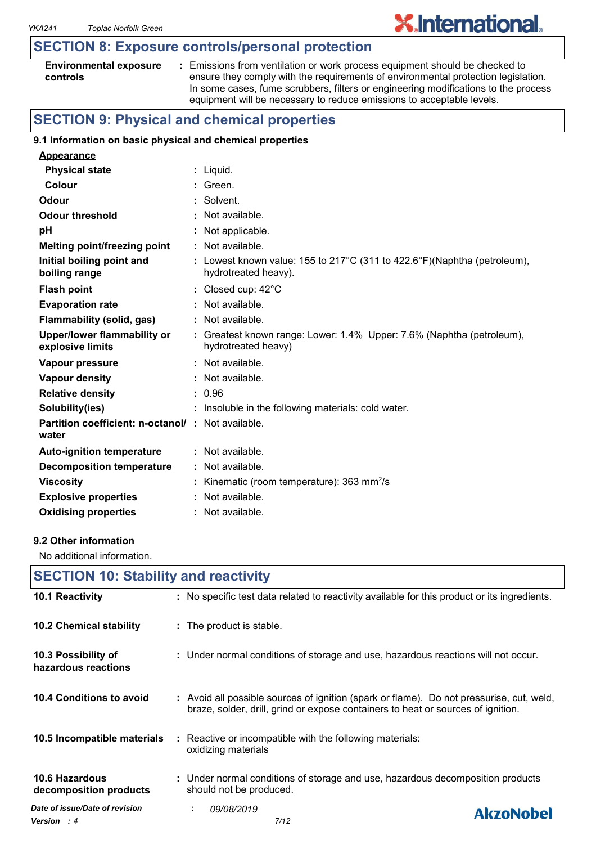## **SECTION 8: Exposure controls/personal protection**

| <b>Environmental exposure</b> |  |
|-------------------------------|--|
| controls                      |  |

**:** Emissions from ventilation or work process equipment should be checked to ensure they comply with the requirements of environmental protection legislation. In some cases, fume scrubbers, filters or engineering modifications to the process equipment will be necessary to reduce emissions to acceptable levels.

**X.International.** 

## **SECTION 9: Physical and chemical properties**

### **9.1 Information on basic physical and chemical properties**

| <b>Appearance</b>                                                 |                                                                                                  |
|-------------------------------------------------------------------|--------------------------------------------------------------------------------------------------|
| <b>Physical state</b>                                             | : Liquid.                                                                                        |
| Colour                                                            | : Green.                                                                                         |
| Odour                                                             | : Solvent.                                                                                       |
| <b>Odour threshold</b>                                            | : Not available.                                                                                 |
| pH                                                                | : Not applicable.                                                                                |
| <b>Melting point/freezing point</b>                               | : Not available.                                                                                 |
| Initial boiling point and<br>boiling range                        | : Lowest known value: 155 to 217°C (311 to 422.6°F)(Naphtha (petroleum),<br>hydrotreated heavy). |
| <b>Flash point</b>                                                | : Closed cup: $42^{\circ}$ C                                                                     |
| <b>Evaporation rate</b>                                           | $:$ Not available.                                                                               |
| Flammability (solid, gas)                                         | : Not available.                                                                                 |
| <b>Upper/lower flammability or</b><br>explosive limits            | : Greatest known range: Lower: 1.4% Upper: 7.6% (Naphtha (petroleum),<br>hydrotreated heavy)     |
| Vapour pressure                                                   | : Not available.                                                                                 |
| <b>Vapour density</b>                                             | : Not available.                                                                                 |
| <b>Relative density</b>                                           | : 0.96                                                                                           |
| Solubility(ies)                                                   | : Insoluble in the following materials: cold water.                                              |
| <b>Partition coefficient: n-octanol/: Not available.</b><br>water |                                                                                                  |
| <b>Auto-ignition temperature</b>                                  | $:$ Not available.                                                                               |
| <b>Decomposition temperature</b>                                  | : Not available.                                                                                 |
| <b>Viscosity</b>                                                  | : Kinematic (room temperature): $363 \text{ mm}^2/\text{s}$                                      |
| <b>Explosive properties</b>                                       | : Not available.                                                                                 |
| <b>Oxidising properties</b>                                       | : Not available.                                                                                 |

#### **9.2 Other information**

No additional information.

| <b>SECTION 10: Stability and reactivity</b>          |                                                                                                                                                                              |  |  |  |
|------------------------------------------------------|------------------------------------------------------------------------------------------------------------------------------------------------------------------------------|--|--|--|
| 10.1 Reactivity                                      | : No specific test data related to reactivity available for this product or its ingredients.                                                                                 |  |  |  |
| 10.2 Chemical stability                              | : The product is stable.                                                                                                                                                     |  |  |  |
| 10.3 Possibility of<br>hazardous reactions           | : Under normal conditions of storage and use, hazardous reactions will not occur.                                                                                            |  |  |  |
| 10.4 Conditions to avoid                             | : Avoid all possible sources of ignition (spark or flame). Do not pressurise, cut, weld,<br>braze, solder, drill, grind or expose containers to heat or sources of ignition. |  |  |  |
| 10.5 Incompatible materials                          | : Reactive or incompatible with the following materials:<br>oxidizing materials                                                                                              |  |  |  |
| <b>10.6 Hazardous</b><br>decomposition products      | : Under normal conditions of storage and use, hazardous decomposition products<br>should not be produced.                                                                    |  |  |  |
| Date of issue/Date of revision<br><b>Version</b> : 4 | 09/08/2019<br>÷.<br><b>AkzoNobel</b><br>7/12                                                                                                                                 |  |  |  |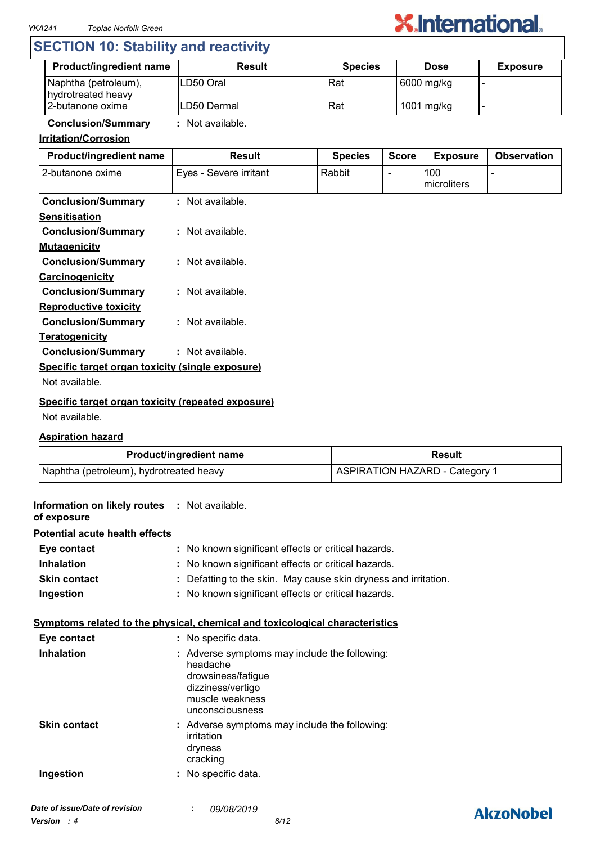

## **SECTION 10: Stability and reactivity**

| <b>Product/ingredient name</b>             | <b>Result</b> | <b>Species</b> | <b>Dose</b> | <b>Exposure</b> |
|--------------------------------------------|---------------|----------------|-------------|-----------------|
| Naphtha (petroleum),<br>hydrotreated heavy | ILD50 Oral    | Rat            | 6000 mg/kg  |                 |
| 2-butanone oxime                           | ILD50 Dermal  | Rat            | 1001 mg/kg  |                 |

## **Conclusion/Summary :** Not available.

## **Irritation/Corrosion**

| Product/ingredient name                            | <b>Result</b>          | <b>Species</b> | <b>Score</b> | <b>Exposure</b>    | <b>Observation</b> |
|----------------------------------------------------|------------------------|----------------|--------------|--------------------|--------------------|
| 2-butanone oxime                                   | Eyes - Severe irritant | Rabbit         |              | 100<br>microliters |                    |
| <b>Conclusion/Summary</b>                          | : Not available.       |                |              |                    |                    |
| <b>Sensitisation</b>                               |                        |                |              |                    |                    |
| <b>Conclusion/Summary</b>                          | : Not available.       |                |              |                    |                    |
| <b>Mutagenicity</b>                                |                        |                |              |                    |                    |
| <b>Conclusion/Summary</b>                          | : Not available.       |                |              |                    |                    |
| Carcinogenicity                                    |                        |                |              |                    |                    |
| <b>Conclusion/Summary</b>                          | : Not available.       |                |              |                    |                    |
| <b>Reproductive toxicity</b>                       |                        |                |              |                    |                    |
| <b>Conclusion/Summary</b>                          | : Not available.       |                |              |                    |                    |
| <b>Teratogenicity</b>                              |                        |                |              |                    |                    |
| <b>Conclusion/Summary</b>                          | : Not available.       |                |              |                    |                    |
| Specific target organ toxicity (single exposure)   |                        |                |              |                    |                    |
| Not available.                                     |                        |                |              |                    |                    |
| Specific target organ toxicity (repeated exposure) |                        |                |              |                    |                    |

#### Not available.

### **Aspiration hazard**

| <b>Product/ingredient name</b>          | <b>Result</b>                  |  |
|-----------------------------------------|--------------------------------|--|
| Naphtha (petroleum), hydrotreated heavy | ASPIRATION HAZARD - Category 1 |  |

| Information on likely routes : Not available.<br>of exposure |                                                               |                                                                                                                                            |  |  |  |
|--------------------------------------------------------------|---------------------------------------------------------------|--------------------------------------------------------------------------------------------------------------------------------------------|--|--|--|
| <b>Potential acute health effects</b>                        |                                                               |                                                                                                                                            |  |  |  |
| Eye contact                                                  |                                                               | : No known significant effects or critical hazards.                                                                                        |  |  |  |
| <b>Inhalation</b>                                            | : No known significant effects or critical hazards.           |                                                                                                                                            |  |  |  |
| <b>Skin contact</b>                                          | Defatting to the skin. May cause skin dryness and irritation. |                                                                                                                                            |  |  |  |
| Ingestion                                                    |                                                               | : No known significant effects or critical hazards.                                                                                        |  |  |  |
|                                                              |                                                               | Symptoms related to the physical, chemical and toxicological characteristics                                                               |  |  |  |
| Eye contact                                                  |                                                               | : No specific data.                                                                                                                        |  |  |  |
| <b>Inhalation</b>                                            |                                                               | : Adverse symptoms may include the following:<br>headache<br>drowsiness/fatigue<br>dizziness/vertigo<br>muscle weakness<br>unconsciousness |  |  |  |
| <b>Skin contact</b>                                          |                                                               | : Adverse symptoms may include the following:<br>irritation<br>dryness<br>cracking                                                         |  |  |  |
| Ingestion                                                    |                                                               | : No specific data.                                                                                                                        |  |  |  |
| Date of issue/Date of revision                               |                                                               | $\cdot$ 00/00/2010                                                                                                                         |  |  |  |

## **AkzoNobel**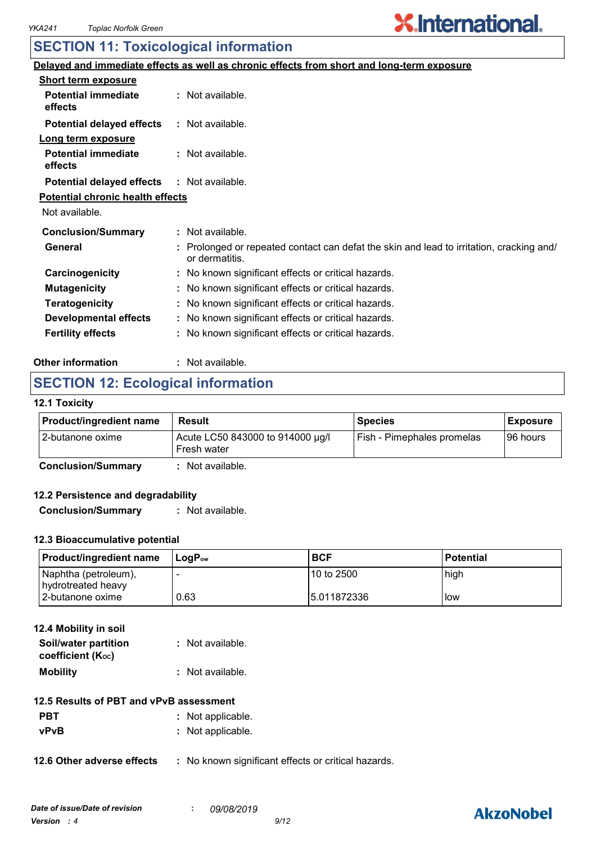# **X.International.**

## **SECTION 11: Toxicological information**

|                                         | Delayed and immediate effects as well as chronic effects from short and long-term exposure               |
|-----------------------------------------|----------------------------------------------------------------------------------------------------------|
| <b>Short term exposure</b>              |                                                                                                          |
| <b>Potential immediate</b><br>effects   | : Not available.                                                                                         |
| <b>Potential delayed effects</b>        | : Not available.                                                                                         |
| Long term exposure                      |                                                                                                          |
| <b>Potential immediate</b><br>effects   | : Not available.                                                                                         |
| <b>Potential delayed effects</b>        | : Not available.                                                                                         |
| <b>Potential chronic health effects</b> |                                                                                                          |
| Not available.                          |                                                                                                          |
| <b>Conclusion/Summary</b>               | : Not available.                                                                                         |
| General                                 | Prolonged or repeated contact can defat the skin and lead to irritation, cracking and/<br>or dermatitis. |
| Carcinogenicity                         | : No known significant effects or critical hazards.                                                      |
| <b>Mutagenicity</b>                     | : No known significant effects or critical hazards.                                                      |
| <b>Teratogenicity</b>                   | : No known significant effects or critical hazards.                                                      |
| <b>Developmental effects</b>            | : No known significant effects or critical hazards.                                                      |
| <b>Fertility effects</b>                | : No known significant effects or critical hazards.                                                      |
|                                         |                                                                                                          |

#### **Other information :** : Not available.

## **SECTION 12: Ecological information**

### **12.1 Toxicity**

| <b>Product/ingredient name</b> | Result                                          | <b>Species</b>             | <b>Exposure</b> |
|--------------------------------|-------------------------------------------------|----------------------------|-----------------|
| I 2-butanone oxime             | Acute LC50 843000 to 914000 µg/l<br>Fresh water | Fish - Pimephales promelas | 196 hours       |
| Conclusion/Summary             | Alot available                                  |                            |                 |

**Conclusion/Summary :** Not available.

### **12.2 Persistence and degradability**

**Conclusion/Summary :** Not available.

### **12.3 Bioaccumulative potential**

| <b>Product/ingredient name</b>             | ⊥LoɑP <sub>ow</sub> | <b>BCF</b>  | <b>Potential</b> |
|--------------------------------------------|---------------------|-------------|------------------|
| Naphtha (petroleum),<br>hydrotreated heavy |                     | 10 to 2500  | high             |
| l 2-butanone oxime                         | 0.63                | 5.011872336 | l low            |

| 12.4 Mobility in soil                     |                  |  |  |
|-------------------------------------------|------------------|--|--|
| Soil/water partition<br>coefficient (Koc) | : Not available. |  |  |
| <b>Mobility</b>                           | : Not available. |  |  |

## **12.5 Results of PBT and vPvB assessment**

| <b>PBT</b> | : Not applicable. |
|------------|-------------------|
| vPvB       | : Not applicable. |

**12.6 Other adverse effects** : No known significant effects or critical hazards.

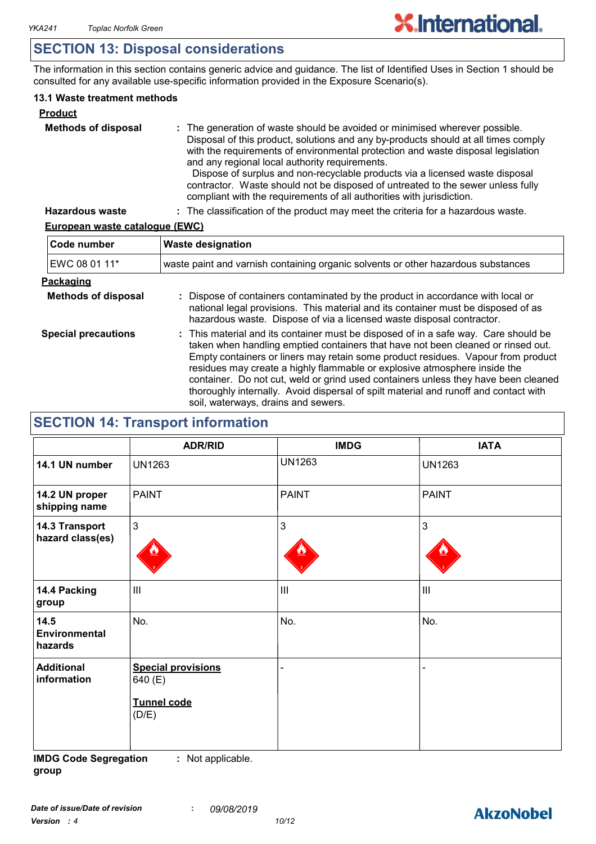## **SECTION 13: Disposal considerations**

The information in this section contains generic advice and guidance. The list of Identified Uses in Section 1 should be consulted for any available use-specific information provided in the Exposure Scenario(s).

## **13.1 Waste treatment methods**

| <b>Product</b>             |                                                                                                                                                                                                                                                                                                                                                                                                                                                                                                                                                     |
|----------------------------|-----------------------------------------------------------------------------------------------------------------------------------------------------------------------------------------------------------------------------------------------------------------------------------------------------------------------------------------------------------------------------------------------------------------------------------------------------------------------------------------------------------------------------------------------------|
| <b>Methods of disposal</b> | : The generation of waste should be avoided or minimised wherever possible.<br>Disposal of this product, solutions and any by-products should at all times comply<br>with the requirements of environmental protection and waste disposal legislation<br>and any regional local authority requirements.<br>Dispose of surplus and non-recyclable products via a licensed waste disposal<br>contractor. Waste should not be disposed of untreated to the sewer unless fully<br>compliant with the requirements of all authorities with jurisdiction. |
| <b>Hazardous waste</b>     | : The classification of the product may meet the criteria for a hazardous waste.                                                                                                                                                                                                                                                                                                                                                                                                                                                                    |

## **European waste catalogue (EWC)**

| Code number                | <b>Waste designation</b>                                                                                                                                                                                                                                                                                                                                                                                                                                                                                                                                      |  |  |
|----------------------------|---------------------------------------------------------------------------------------------------------------------------------------------------------------------------------------------------------------------------------------------------------------------------------------------------------------------------------------------------------------------------------------------------------------------------------------------------------------------------------------------------------------------------------------------------------------|--|--|
| EWC 08 01 11*              | waste paint and varnish containing organic solvents or other hazardous substances                                                                                                                                                                                                                                                                                                                                                                                                                                                                             |  |  |
| Packaging                  |                                                                                                                                                                                                                                                                                                                                                                                                                                                                                                                                                               |  |  |
| <b>Methods of disposal</b> | : Dispose of containers contaminated by the product in accordance with local or<br>national legal provisions. This material and its container must be disposed of as<br>hazardous waste. Dispose of via a licensed waste disposal contractor.                                                                                                                                                                                                                                                                                                                 |  |  |
| <b>Special precautions</b> | : This material and its container must be disposed of in a safe way. Care should be<br>taken when handling emptied containers that have not been cleaned or rinsed out.<br>Empty containers or liners may retain some product residues. Vapour from product<br>residues may create a highly flammable or explosive atmosphere inside the<br>container. Do not cut, weld or grind used containers unless they have been cleaned<br>thoroughly internally. Avoid dispersal of spilt material and runoff and contact with<br>soil, waterways, drains and sewers. |  |  |

## **SECTION 14: Transport information**

|                                    | <b>ADR/RID</b>                                                      | <b>IMDG</b>    | <b>IATA</b>        |
|------------------------------------|---------------------------------------------------------------------|----------------|--------------------|
| 14.1 UN number                     | <b>UN1263</b>                                                       | <b>UN1263</b>  | <b>UN1263</b>      |
| 14.2 UN proper<br>shipping name    | <b>PAINT</b>                                                        | <b>PAINT</b>   | <b>PAINT</b>       |
| 14.3 Transport<br>hazard class(es) | $\mathbf{3}$                                                        | 3              | $\mathbf{3}$       |
| 14.4 Packing<br>group              | $\mathbf{III}$                                                      | $\mathbf{III}$ | $\mathop{\rm III}$ |
| 14.5<br>Environmental<br>hazards   | No.                                                                 | No.            | No.                |
| <b>Additional</b><br>information   | <b>Special provisions</b><br>640 (E)<br><b>Tunnel code</b><br>(D/E) |                |                    |

**IMDG Code Segregation group :** Not applicable.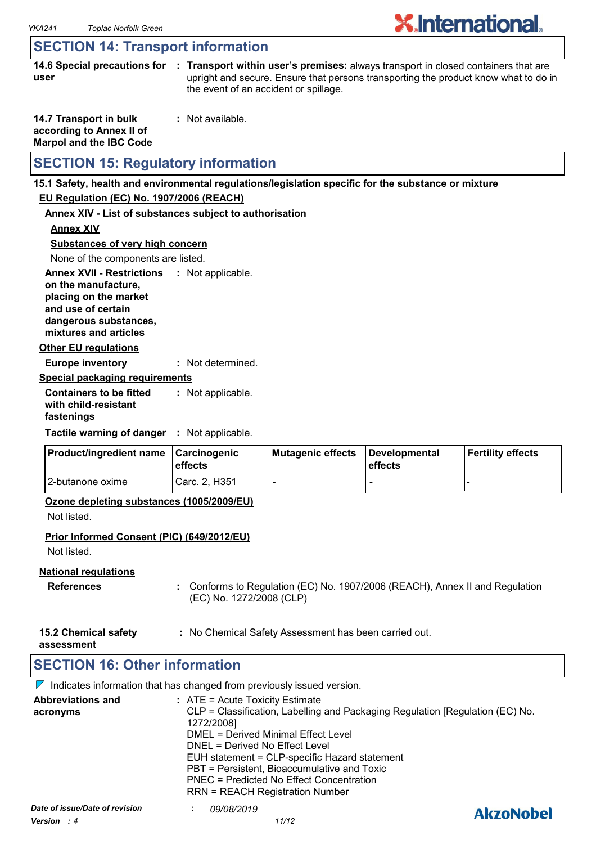# **X**.International.

## **SECTION 14: Transport information**

**14.6 Special precautions for : Transport within user's premises:** always transport in closed containers that are **user** upright and secure. Ensure that persons transporting the product know what to do in the event of an accident or spillage.

| 14.7 Transport in bulk         | : Not available. |
|--------------------------------|------------------|
| according to Annex II of       |                  |
| <b>Marpol and the IBC Code</b> |                  |

## **SECTION 15: Regulatory information**

#### **15.1 Safety, health and environmental regulations/legislation specific for the substance or mixture**

## **EU Regulation (EC) No. 1907/2006 (REACH)**

#### **Annex XIV - List of substances subject to authorisation**

**Annex XIV**

#### **Substances of very high concern**

None of the components are listed.

**Annex XVII - Restrictions : Not applicable. on the manufacture,**

**placing on the market and use of certain** 

**dangerous substances,**

**mixtures and articles**

**Other EU regulations**

**Europe inventory :** Not determined.

### **Special packaging requirements**

**Containers to be fitted with child-resistant fastenings** Not applicable. **:**

**Tactile warning of danger : Not applicable.** 

| <b>Product/ingredient name</b> | <b>∣Carcinogenic</b><br><b>leffects</b> | Mutagenic effects | Developmental<br>effects | Fertility effects |
|--------------------------------|-----------------------------------------|-------------------|--------------------------|-------------------|
| 12-butanone oxime              | Carc. 2. H351                           |                   | -                        |                   |

### **Ozone depleting substances (1005/2009/EU)**

Not listed.

### **Prior Informed Consent (PIC) (649/2012/EU)**

Not listed.

### **National regulations**

- **References :** Conforms to Regulation (EC) No. 1907/2006 (REACH), Annex II and Regulation (EC) No. 1272/2008 (CLP)
- **15.2 Chemical safety :** No Chemical Safety Assessment has been carried out.

**assessment**

## **SECTION 16: Other information**

 $\nabla$  Indicates information that has changed from previously issued version.

| <b>Abbreviations and</b><br>acronyms          | $:$ ATE = Acute Toxicity Estimate<br>CLP = Classification, Labelling and Packaging Regulation [Regulation (EC) No.<br>1272/2008]<br>DMEL = Derived Minimal Effect Level<br>DNEL = Derived No Effect Level<br>EUH statement = CLP-specific Hazard statement<br>PBT = Persistent, Bioaccumulative and Toxic<br>PNEC = Predicted No Effect Concentration<br><b>RRN = REACH Registration Number</b> |                  |
|-----------------------------------------------|-------------------------------------------------------------------------------------------------------------------------------------------------------------------------------------------------------------------------------------------------------------------------------------------------------------------------------------------------------------------------------------------------|------------------|
| Date of issue/Date of revision<br>Version : 4 | 09/08/2019<br>11/12                                                                                                                                                                                                                                                                                                                                                                             | <b>AkzoNobel</b> |